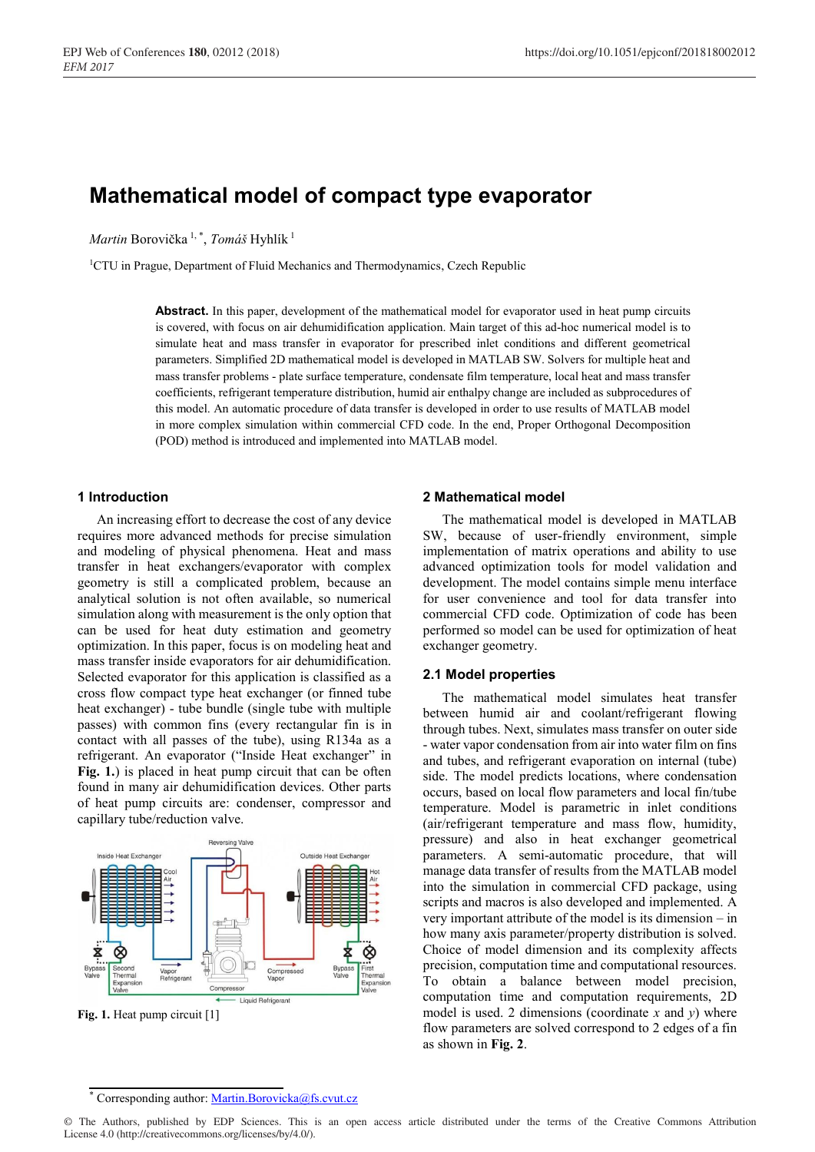# **Mathematical model of compact type evaporator**

*Martin* Borovička 1, \* , *Tomáš* Hyhlík <sup>1</sup>

<sup>1</sup>CTU in Prague, Department of Fluid Mechanics and Thermodynamics, Czech Republic

**Abstract.** In this paper, development of the mathematical model for evaporator used in heat pump circuits is covered, with focus on air dehumidification application. Main target of this ad-hoc numerical model is to simulate heat and mass transfer in evaporator for prescribed inlet conditions and different geometrical parameters. Simplified 2D mathematical model is developed in MATLAB SW. Solvers for multiple heat and mass transfer problems - plate surface temperature, condensate film temperature, local heat and mass transfer coefficients, refrigerant temperature distribution, humid air enthalpy change are included as subprocedures of this model. An automatic procedure of data transfer is developed in order to use results of MATLAB model in more complex simulation within commercial CFD code. In the end, Proper Orthogonal Decomposition (POD) method is introduced and implemented into MATLAB model.

### **1 Introduction**

An increasing effort to decrease the cost of any device requires more advanced methods for precise simulation and modeling of physical phenomena. Heat and mass transfer in heat exchangers/evaporator with complex geometry is still a complicated problem, because an analytical solution is not often available, so numerical simulation along with measurement is the only option that can be used for heat duty estimation and geometry optimization. In this paper, focus is on modeling heat and mass transfer inside evaporators for air dehumidification. Selected evaporator for this application is classified as a cross flow compact type heat exchanger (or finned tube heat exchanger) - tube bundle (single tube with multiple passes) with common fins (every rectangular fin is in contact with all passes of the tube), using R134a as a refrigerant. An evaporator ("Inside Heat exchanger" in **Fig. 1.**) is placed in heat pump circuit that can be often found in many air dehumidification devices. Other parts of heat pump circuits are: condenser, compressor and capillary tube/reduction valve.



**Fig. 1.** Heat pump circuit [1]

#### **2 Mathematical model**

The mathematical model is developed in MATLAB SW, because of user-friendly environment, simple implementation of matrix operations and ability to use advanced optimization tools for model validation and development. The model contains simple menu interface for user convenience and tool for data transfer into commercial CFD code. Optimization of code has been performed so model can be used for optimization of heat exchanger geometry.

#### **2.1 Model properties**

The mathematical model simulates heat transfer between humid air and coolant/refrigerant flowing through tubes. Next, simulates mass transfer on outer side - water vapor condensation from air into water film on fins and tubes, and refrigerant evaporation on internal (tube) side. The model predicts locations, where condensation occurs, based on local flow parameters and local fin/tube temperature. Model is parametric in inlet conditions (air/refrigerant temperature and mass flow, humidity, pressure) and also in heat exchanger geometrical parameters. A semi-automatic procedure, that will manage data transfer of results from the MATLAB model into the simulation in commercial CFD package, using scripts and macros is also developed and implemented. A very important attribute of the model is its dimension – in how many axis parameter/property distribution is solved. Choice of model dimension and its complexity affects precision, computation time and computational resources. To obtain a balance between model precision, computation time and computation requirements, 2D model is used. 2 dimensions (coordinate  $x$  and  $y$ ) where flow parameters are solved correspond to 2 edges of a fin as shown in **Fig. 2**.

<sup>\*</sup> Corresponding author: Martin.Borovicka@fs.cvut.cz

<sup>©</sup> The Authors, published by EDP Sciences. This is an open access article distributed under the terms of the Creative Commons Attribution License 4.0 (http://creativecommons.org/licenses/by/4.0/).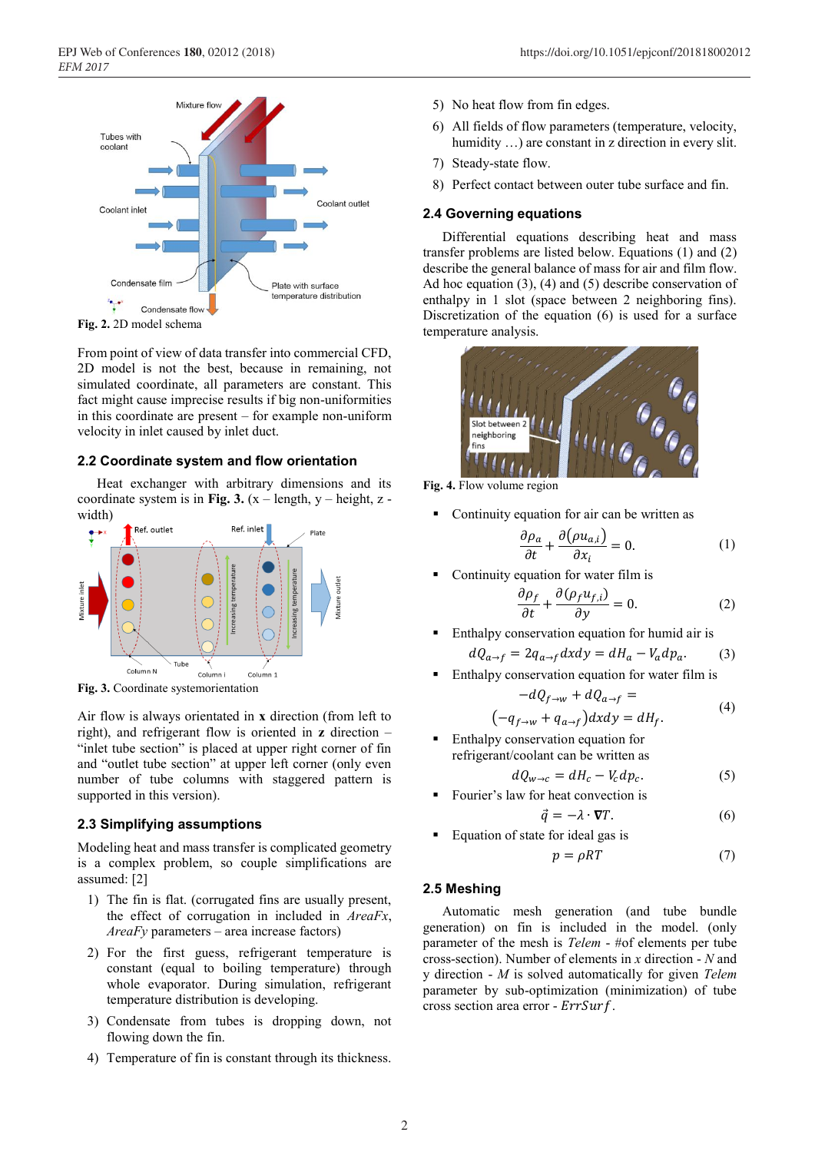

**Fig. 2.** 2D model schema

From point of view of data transfer into commercial CFD, 2D model is not the best, because in remaining, not simulated coordinate, all parameters are constant. This fact might cause imprecise results if big non-uniformities in this coordinate are present – for example non-uniform velocity in inlet caused by inlet duct.

# **2.2 Coordinate system and flow orientation**

Heat exchanger with arbitrary dimensions and its coordinate system is in **Fig. 3.**  $(x - \text{length}, y - \text{height}, z - \text{length})$ width)



**Fig. 3.** Coordinate systemorientation

Air flow is always orientated in **x** direction (from left to right), and refrigerant flow is oriented in **z** direction – "inlet tube section" is placed at upper right corner of fin and "outlet tube section" at upper left corner (only even number of tube columns with staggered pattern is supported in this version).

# **2.3 Simplifying assumptions**

Modeling heat and mass transfer is complicated geometry is a complex problem, so couple simplifications are assumed: [2]

- 1) The fin is flat. (corrugated fins are usually present, the effect of corrugation in included in *AreaFx*, *AreaFy* parameters – area increase factors)
- 2) For the first guess, refrigerant temperature is constant (equal to boiling temperature) through whole evaporator. During simulation, refrigerant temperature distribution is developing.
- 3) Condensate from tubes is dropping down, not flowing down the fin.
- 4) Temperature of fin is constant through its thickness.
- 5) No heat flow from fin edges.
- 6) All fields of flow parameters (temperature, velocity, humidity ...) are constant in z direction in every slit.
- 7) Steady-state flow.
- 8) Perfect contact between outer tube surface and fin.

# **2.4 Governing equations**

Differential equations describing heat and mass transfer problems are listed below. Equations (1) and (2) describe the general balance of mass for air and film flow. Ad hoc equation (3), (4) and (5) describe conservation of enthalpy in 1 slot (space between 2 neighboring fins). Discretization of the equation (6) is used for a surface temperature analysis.



**Fig. 4.** Flow volume region

Continuity equation for air can be written as

$$
\frac{\partial \rho_a}{\partial t} + \frac{\partial (\rho u_{a,i})}{\partial x_i} = 0.
$$
 (1)

Continuity equation for water film is

$$
\frac{\partial \rho_f}{\partial t} + \frac{\partial (\rho_f u_{f,i})}{\partial y} = 0.
$$
 (2)

- Enthalpy conservation equation for humid air is  $dQ_{a\rightarrow f} = 2q_{a\rightarrow f}dxdy = dH_a - V_adp_a.$  (3)
- Enthalpy conservation equation for water film is

$$
-dQ_{f\to w} + dQ_{a\to f} =
$$
  

$$
(-q_{f\to w} + q_{a\to f})dxdy = dH_f.
$$
 (4)

Enthalpy conservation equation for refrigerant/coolant can be written as

$$
dQ_{w\to c} = dH_c - V_c dp_c. \tag{5}
$$

Fourier's law for heat convection is

$$
\vec{q} = -\lambda \cdot \nabla T. \tag{6}
$$

▪ Equation of state for ideal gas is

$$
p = \rho RT \tag{7}
$$

# **2.5 Meshing**

Automatic mesh generation (and tube bundle generation) on fin is included in the model. (only parameter of the mesh is *Telem* - #of elements per tube cross-section). Number of elements in *x* direction - *N* and y direction - *M* is solved automatically for given *Telem* parameter by sub-optimization (minimization) of tube cross section area error -  $ErrSurf$ .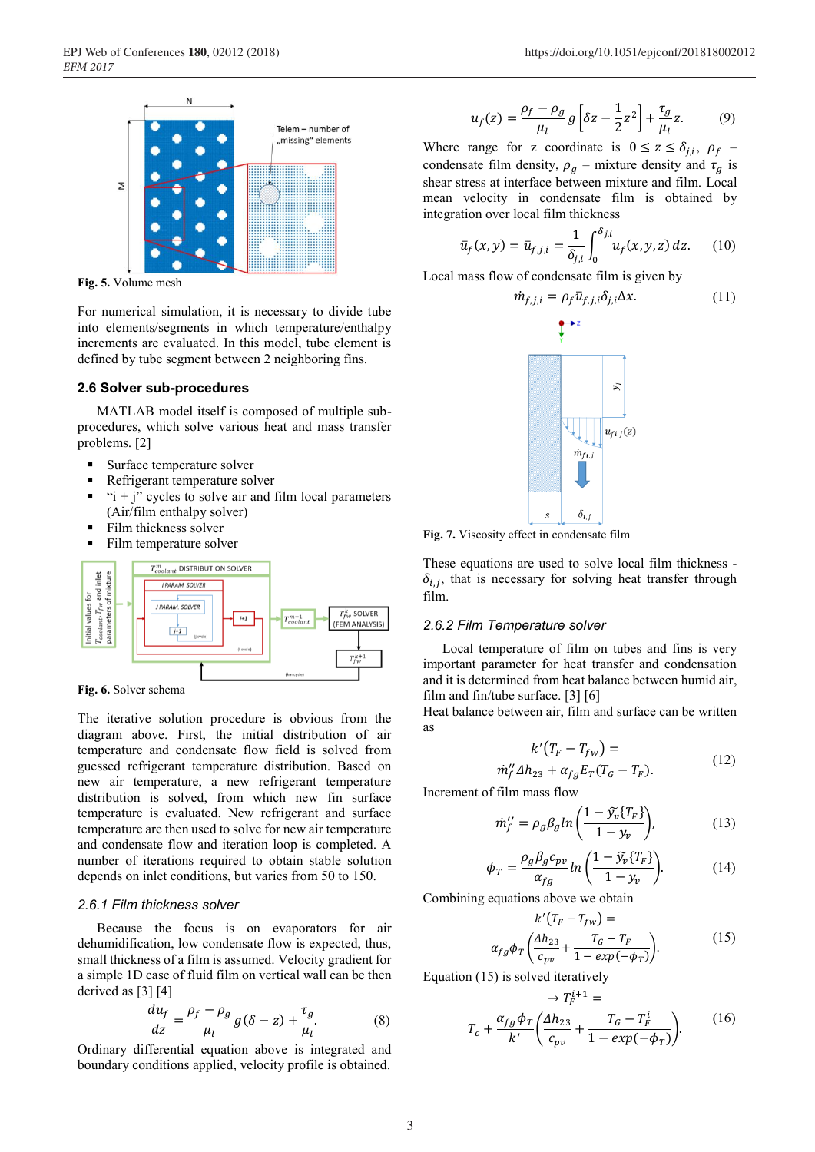

**Fig. 5.** Volume mesh

For numerical simulation, it is necessary to divide tube into elements/segments in which temperature/enthalpy increments are evaluated. In this model, tube element is defined by tube segment between 2 neighboring fins.

#### **2.6 Solver sub-procedures**

MATLAB model itself is composed of multiple subprocedures, which solve various heat and mass transfer problems. [2]

- Surface temperature solver
- Refrigerant temperature solver
- " $i + j$ " cycles to solve air and film local parameters (Air/film enthalpy solver)
- Film thickness solver
- Film temperature solver



**Fig. 6.** Solver schema

The iterative solution procedure is obvious from the diagram above. First, the initial distribution of air temperature and condensate flow field is solved from guessed refrigerant temperature distribution. Based on new air temperature, a new refrigerant temperature distribution is solved, from which new fin surface temperature is evaluated. New refrigerant and surface temperature are then used to solve for new air temperature and condensate flow and iteration loop is completed. A number of iterations required to obtain stable solution depends on inlet conditions, but varies from 50 to 150.

#### *2.6.1 Film thickness solver*

Because the focus is on evaporators for air dehumidification, low condensate flow is expected, thus, small thickness of a film is assumed. Velocity gradient for a simple 1D case of fluid film on vertical wall can be then derived as [3] [4]

$$
\frac{du_f}{dz} = \frac{\rho_f - \rho_g}{\mu_l} g(\delta - z) + \frac{\tau_g}{\mu_l}.\tag{8}
$$

Ordinary differential equation above is integrated and boundary conditions applied, velocity profile is obtained.

$$
u_f(z) = \frac{\rho_f - \rho_g}{\mu_l} g \left[ \delta z - \frac{1}{2} z^2 \right] + \frac{\tau_g}{\mu_l} z. \tag{9}
$$

Where range for z coordinate is  $0 \le z \le \delta_{j,i}, \ \rho_f$  – condensate film density,  $\rho_g$  – mixture density and  $\tau_g$  is shear stress at interface between mixture and film. Local mean velocity in condensate film is obtained by integration over local film thickness

$$
\bar{u}_f(x, y) = \bar{u}_{f, j, i} = \frac{1}{\delta_{j, i}} \int_0^{\delta_{j, i}} u_f(x, y, z) \, dz. \tag{10}
$$

Local mass flow of condensate film is given by

$$
\dot{m}_{f,j,i} = \rho_f \bar{u}_{f,j,i} \delta_{j,i} \Delta x.
$$
 (11)



**Fig. 7.** Viscosity effect in condensate film

These equations are used to solve local film thickness -  $\delta_{i,j}$ , that is necessary for solving heat transfer through film.

#### *2.6.2 Film Temperature solver*

Local temperature of film on tubes and fins is very important parameter for heat transfer and condensation and it is determined from heat balance between humid air, film and fin/tube surface. [3] [6]

Heat balance between air, film and surface can be written as

$$
k'(T_F - T_{fw}) =
$$
  

$$
m_f'' \Delta h_{23} + \alpha_{fg} E_T (T_G - T_F).
$$
 (12)

Increment of film mass flow

$$
\dot{m}_{f}^{"} = \rho_g \beta_g \ln \left( \frac{1 - \tilde{y}_v \{ T_F \}}{1 - y_v} \right),\tag{13}
$$

$$
\phi_T = \frac{\rho_g \beta_g c_{pv}}{\alpha_{fg}} \ln \left( \frac{1 - \tilde{y}_v \{ T_F \}}{1 - y_v} \right). \tag{14}
$$

Combining equations above we obtain

$$
k'\left(T_F - T_{fw}\right) =
$$
  
\n
$$
\alpha_{fg}\phi_T\left(\frac{\Delta h_{23}}{c_{pv}} + \frac{T_G - T_F}{1 - exp(-\phi_T)}\right).
$$
 (15)

Equation (15) is solved iteratively

$$
\rightarrow T_F^{i+1} =
$$
  

$$
T_c + \frac{\alpha_{fg} \phi_T}{k'} \left( \frac{\Delta h_{23}}{c_{pv}} + \frac{T_G - T_F^i}{1 - exp(-\phi_T)} \right).
$$
 (16)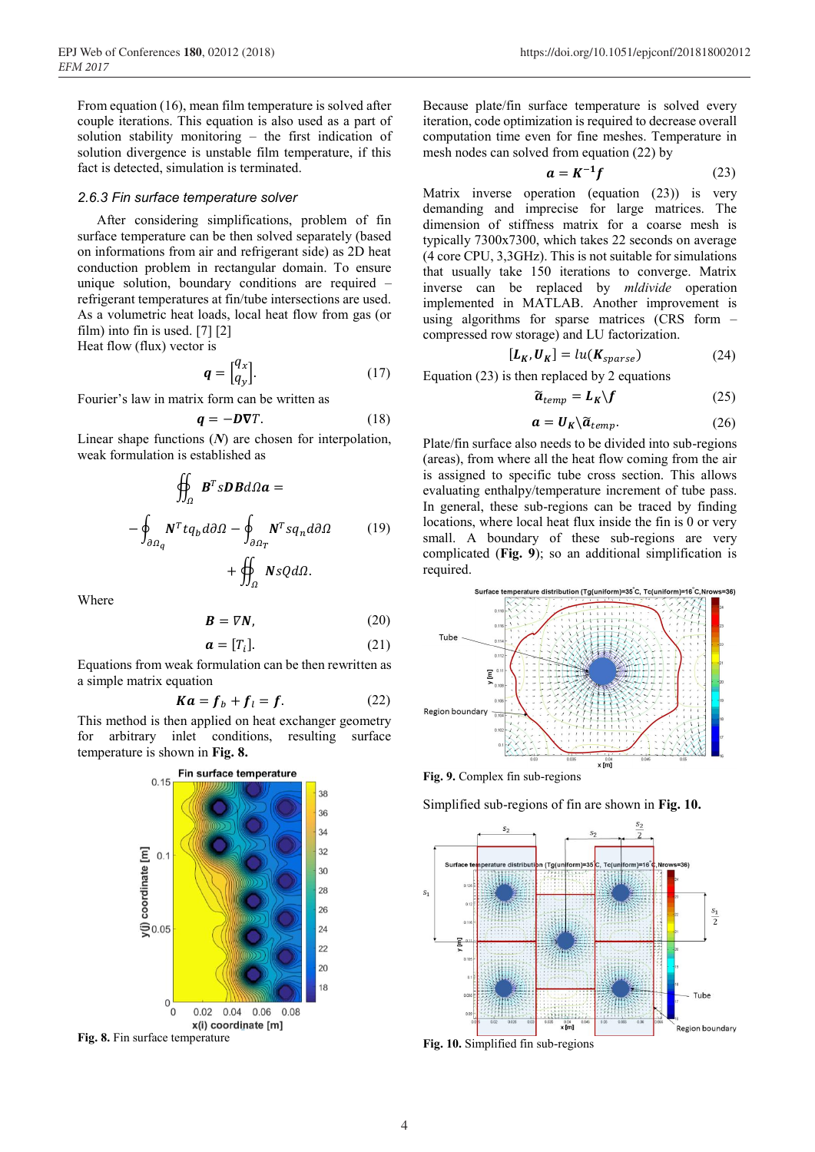From equation (16), mean film temperature is solved after couple iterations. This equation is also used as a part of solution stability monitoring – the first indication of solution divergence is unstable film temperature, if this fact is detected, simulation is terminated.

#### *2.6.3 Fin surface temperature solver*

After considering simplifications, problem of fin surface temperature can be then solved separately (based on informations from air and refrigerant side) as 2D heat conduction problem in rectangular domain. To ensure unique solution, boundary conditions are required – refrigerant temperatures at fin/tube intersections are used. As a volumetric heat loads, local heat flow from gas (or film) into fin is used. [7] [2]

Heat flow (flux) vector is

$$
\boldsymbol{q} = \begin{bmatrix} q_x \\ q_y \end{bmatrix} . \tag{17}
$$

Fourier's law in matrix form can be written as

$$
q = -D\nabla T. \tag{18}
$$

Linear shape functions (*N*) are chosen for interpolation, weak formulation is established as

$$
\oint_{\Omega} \mathbf{B}^{T} s \mathbf{D} \mathbf{B} d\Omega \mathbf{a} =
$$
\n
$$
-\oint_{\partial \Omega_{q}} \mathbf{N}^{T} t q_{b} d\partial \Omega - \oint_{\partial \Omega_{T}} \mathbf{N}^{T} s q_{n} d\partial \Omega \qquad (19)
$$
\n
$$
+\oint_{\Omega} \mathbf{N} s Q d\Omega.
$$

Where

$$
B = \nabla N, \tag{20}
$$

$$
\boldsymbol{a} = [T_i]. \tag{21}
$$

Equations from weak formulation can be then rewritten as a simple matrix equation

$$
Ka = f_b + f_l = f. \tag{22}
$$

This method is then applied on heat exchanger geometry for arbitrary inlet conditions, resulting surface temperature is shown in **Fig. 8.**



**Fig. 8.** Fin surface temperature

Because plate/fin surface temperature is solved every iteration, code optimization is required to decrease overall computation time even for fine meshes. Temperature in mesh nodes can solved from equation (22) by

$$
a = K^{-1}f \tag{23}
$$

Matrix inverse operation (equation (23)) is very demanding and imprecise for large matrices. The dimension of stiffness matrix for a coarse mesh is typically 7300x7300, which takes 22 seconds on average (4 core CPU, 3,3GHz). This is not suitable for simulations that usually take 150 iterations to converge. Matrix inverse can be replaced by *mldivide* operation implemented in MATLAB. Another improvement is using algorithms for sparse matrices (CRS form – compressed row storage) and LU factorization.

$$
[\boldsymbol{L}_K, \boldsymbol{U}_K] = l u(\boldsymbol{K}_{sparse}) \tag{24}
$$

Equation (23) is then replaced by 2 equations

$$
\widetilde{a}_{temp} = L_K \backslash f \tag{25}
$$

$$
a = U_K \backslash \tilde{a}_{temp}.\tag{26}
$$

Plate/fin surface also needs to be divided into sub-regions (areas), from where all the heat flow coming from the air is assigned to specific tube cross section. This allows evaluating enthalpy/temperature increment of tube pass. In general, these sub-regions can be traced by finding locations, where local heat flux inside the fin is 0 or very small. A boundary of these sub-regions are very complicated (**Fig. 9**); so an additional simplification is required.



**Fig. 9.** Complex fin sub-regions

Simplified sub-regions of fin are shown in **Fig. 10.**

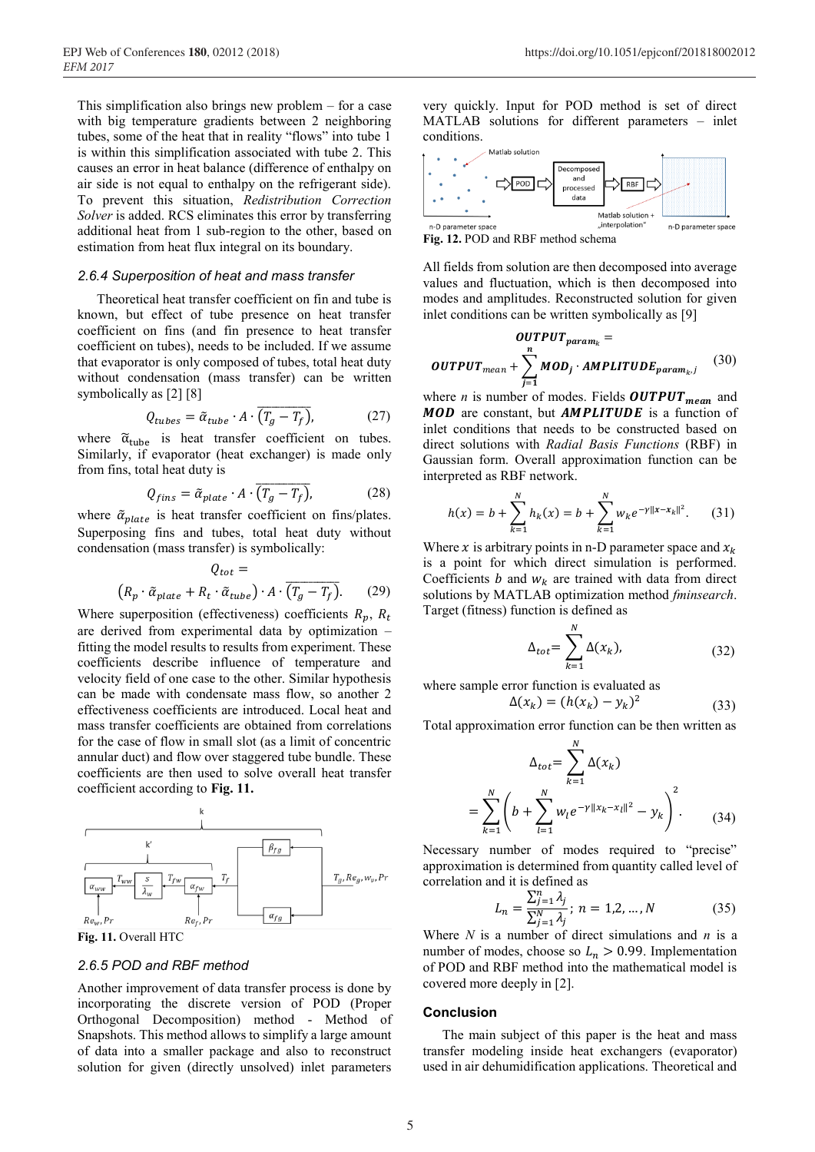This simplification also brings new problem – for a case with big temperature gradients between 2 neighboring tubes, some of the heat that in reality "flows" into tube 1 is within this simplification associated with tube 2. This causes an error in heat balance (difference of enthalpy on air side is not equal to enthalpy on the refrigerant side). To prevent this situation, *Redistribution Correction Solver* is added. RCS eliminates this error by transferring additional heat from 1 sub-region to the other, based on estimation from heat flux integral on its boundary.

#### *2.6.4 Superposition of heat and mass transfer*

Theoretical heat transfer coefficient on fin and tube is known, but effect of tube presence on heat transfer coefficient on fins (and fin presence to heat transfer coefficient on tubes), needs to be included. If we assume that evaporator is only composed of tubes, total heat duty without condensation (mass transfer) can be written symbolically as [2] [8]

$$
Q_{tubes} = \tilde{\alpha}_{tube} \cdot A \cdot \overline{(T_g - T_f)}, \tag{27}
$$

where  $\tilde{\alpha}_{tube}$  is heat transfer coefficient on tubes. Similarly, if evaporator (heat exchanger) is made only from fins, total heat duty is

$$
Q_{fins} = \tilde{\alpha}_{plate} \cdot A \cdot \overline{(T_g - T_f)}, \tag{28}
$$

where  $\tilde{\alpha}_{plate}$  is heat transfer coefficient on fins/plates. Superposing fins and tubes, total heat duty without condensation (mass transfer) is symbolically:

$$
Q_{tot} =
$$

$$
(R_p \cdot \tilde{\alpha}_{plate} + R_t \cdot \tilde{\alpha}_{tube}) \cdot A \cdot \overline{(T_g - T_f)}. (29)
$$

Where superposition (effectiveness) coefficients  $R_p$ ,  $R_t$ are derived from experimental data by optimization – fitting the model results to results from experiment. These coefficients describe influence of temperature and velocity field of one case to the other. Similar hypothesis can be made with condensate mass flow, so another 2 effectiveness coefficients are introduced. Local heat and mass transfer coefficients are obtained from correlations for the case of flow in small slot (as a limit of concentric annular duct) and flow over staggered tube bundle. These coefficients are then used to solve overall heat transfer coefficient according to **Fig. 11.**



**Fig. 11.** Overall HTC

## *2.6.5 POD and RBF method*

Another improvement of data transfer process is done by incorporating the discrete version of POD (Proper Orthogonal Decomposition) method - Method of Snapshots. This method allows to simplify a large amount of data into a smaller package and also to reconstruct solution for given (directly unsolved) inlet parameters

very quickly. Input for POD method is set of direct MATLAB solutions for different parameters – inlet conditions.



**Fig. 12.** POD and RBF method schema

All fields from solution are then decomposed into average values and fluctuation, which is then decomposed into modes and amplitudes. Reconstructed solution for given inlet conditions can be written symbolically as [9]

$$
OUTPUT_{param_k} =
$$
  
OUTPUT<sub>mean</sub> +  $\sum_{j=1}^{n} MOD_j \cdot AMPLITUDE_{param_k,j}$  (30)

where  $n$  is number of modes. Fields  $\textit{OUTPUT}_{mean}$  and **MOD** are constant, but **AMPLITUDE** is a function of inlet conditions that needs to be constructed based on direct solutions with *Radial Basis Functions* (RBF) in Gaussian form. Overall approximation function can be interpreted as RBF network.

$$
h(x) = b + \sum_{k=1}^{N} h_k(x) = b + \sum_{k=1}^{N} w_k e^{-\gamma ||x - x_k||^2}.
$$
 (31)

Where x is arbitrary points in n-D parameter space and  $x_k$ is a point for which direct simulation is performed. Coefficients  $b$  and  $w_k$  are trained with data from direct solutions by MATLAB optimization method *fminsearch*. Target (fitness) function is defined as

$$
\Delta_{tot} = \sum_{k=1}^{N} \Delta(x_k),\tag{32}
$$

where sample error function is evaluated as

$$
\Delta(x_k) = (h(x_k) - y_k)^2 \tag{33}
$$

Total approximation error function can be then written as

$$
\Delta_{tot} = \sum_{k=1}^{N} \Delta(x_k)
$$
  
= 
$$
\sum_{k=1}^{N} \left( b + \sum_{l=1}^{N} w_l e^{-\gamma ||x_k - x_l||^2} - y_k \right)^2.
$$
 (34)

Necessary number of modes required to "precise" approximation is determined from quantity called level of correlation and it is defined as

$$
L_n = \frac{\sum_{j=1}^n \lambda_j}{\sum_{j=1}^N \lambda_j}; \ n = 1, 2, ..., N
$$
 (35)

Where *N* is a number of direct simulations and *n* is a number of modes, choose so  $L_n > 0.99$ . Implementation of POD and RBF method into the mathematical model is covered more deeply in [2].

#### **Conclusion**

The main subject of this paper is the heat and mass transfer modeling inside heat exchangers (evaporator) used in air dehumidification applications. Theoretical and